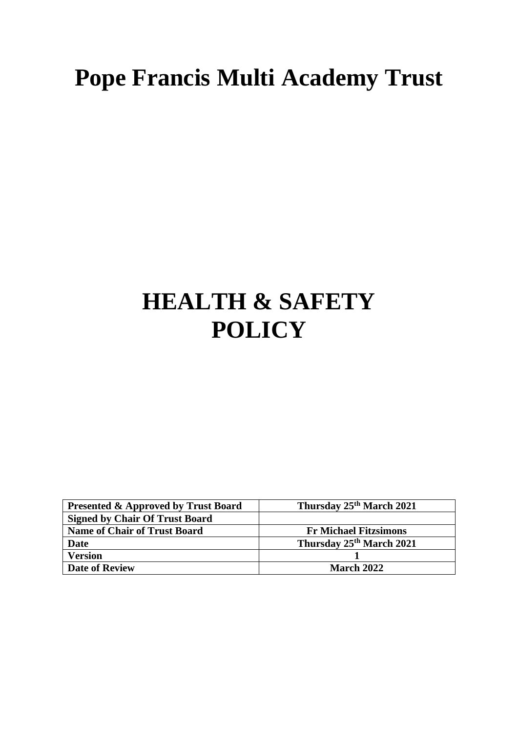# **Pope Francis Multi Academy Trust**

# **HEALTH & SAFETY POLICY**

| <b>Presented &amp; Approved by Trust Board</b> | Thursday 25 <sup>th</sup> March 2021 |
|------------------------------------------------|--------------------------------------|
| <b>Signed by Chair Of Trust Board</b>          |                                      |
| <b>Name of Chair of Trust Board</b>            | <b>Fr Michael Fitzsimons</b>         |
| <b>Date</b>                                    | Thursday 25 <sup>th</sup> March 2021 |
| <b>Version</b>                                 |                                      |
| <b>Date of Review</b>                          | <b>March 2022</b>                    |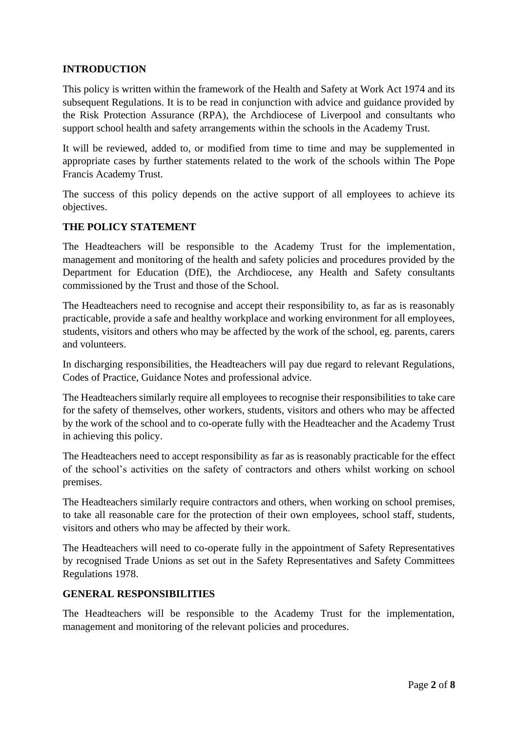# **INTRODUCTION**

This policy is written within the framework of the Health and Safety at Work Act 1974 and its subsequent Regulations. It is to be read in conjunction with advice and guidance provided by the Risk Protection Assurance (RPA), the Archdiocese of Liverpool and consultants who support school health and safety arrangements within the schools in the Academy Trust.

It will be reviewed, added to, or modified from time to time and may be supplemented in appropriate cases by further statements related to the work of the schools within The Pope Francis Academy Trust.

The success of this policy depends on the active support of all employees to achieve its objectives.

# **THE POLICY STATEMENT**

The Headteachers will be responsible to the Academy Trust for the implementation, management and monitoring of the health and safety policies and procedures provided by the Department for Education (DfE), the Archdiocese, any Health and Safety consultants commissioned by the Trust and those of the School.

The Headteachers need to recognise and accept their responsibility to, as far as is reasonably practicable, provide a safe and healthy workplace and working environment for all employees, students, visitors and others who may be affected by the work of the school, eg. parents, carers and volunteers.

In discharging responsibilities, the Headteachers will pay due regard to relevant Regulations, Codes of Practice, Guidance Notes and professional advice.

The Headteachers similarly require all employees to recognise their responsibilities to take care for the safety of themselves, other workers, students, visitors and others who may be affected by the work of the school and to co-operate fully with the Headteacher and the Academy Trust in achieving this policy.

The Headteachers need to accept responsibility as far as is reasonably practicable for the effect of the school's activities on the safety of contractors and others whilst working on school premises.

The Headteachers similarly require contractors and others, when working on school premises, to take all reasonable care for the protection of their own employees, school staff, students, visitors and others who may be affected by their work.

The Headteachers will need to co-operate fully in the appointment of Safety Representatives by recognised Trade Unions as set out in the Safety Representatives and Safety Committees Regulations 1978.

# **GENERAL RESPONSIBILITIES**

The Headteachers will be responsible to the Academy Trust for the implementation, management and monitoring of the relevant policies and procedures.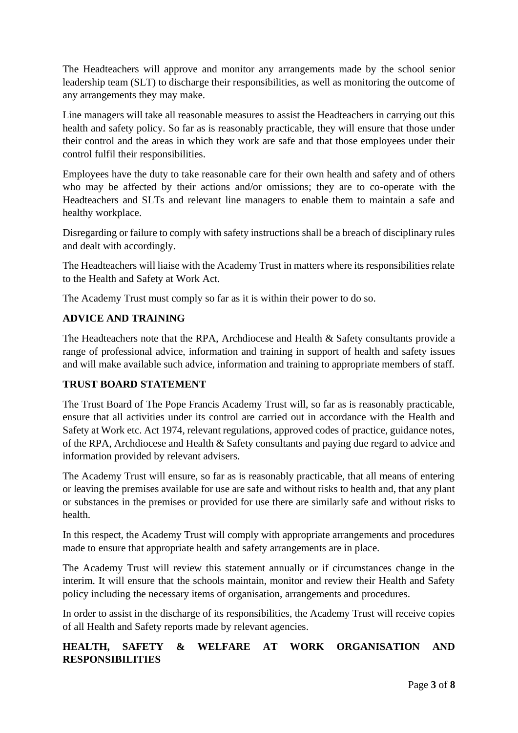The Headteachers will approve and monitor any arrangements made by the school senior leadership team (SLT) to discharge their responsibilities, as well as monitoring the outcome of any arrangements they may make.

Line managers will take all reasonable measures to assist the Headteachers in carrying out this health and safety policy. So far as is reasonably practicable, they will ensure that those under their control and the areas in which they work are safe and that those employees under their control fulfil their responsibilities.

Employees have the duty to take reasonable care for their own health and safety and of others who may be affected by their actions and/or omissions; they are to co-operate with the Headteachers and SLTs and relevant line managers to enable them to maintain a safe and healthy workplace.

Disregarding or failure to comply with safety instructions shall be a breach of disciplinary rules and dealt with accordingly.

The Headteachers will liaise with the Academy Trust in matters where its responsibilities relate to the Health and Safety at Work Act.

The Academy Trust must comply so far as it is within their power to do so.

# **ADVICE AND TRAINING**

The Headteachers note that the RPA, Archdiocese and Health & Safety consultants provide a range of professional advice, information and training in support of health and safety issues and will make available such advice, information and training to appropriate members of staff.

# **TRUST BOARD STATEMENT**

The Trust Board of The Pope Francis Academy Trust will, so far as is reasonably practicable, ensure that all activities under its control are carried out in accordance with the Health and Safety at Work etc. Act 1974, relevant regulations, approved codes of practice, guidance notes, of the RPA, Archdiocese and Health & Safety consultants and paying due regard to advice and information provided by relevant advisers.

The Academy Trust will ensure, so far as is reasonably practicable, that all means of entering or leaving the premises available for use are safe and without risks to health and, that any plant or substances in the premises or provided for use there are similarly safe and without risks to health.

In this respect, the Academy Trust will comply with appropriate arrangements and procedures made to ensure that appropriate health and safety arrangements are in place.

The Academy Trust will review this statement annually or if circumstances change in the interim. It will ensure that the schools maintain, monitor and review their Health and Safety policy including the necessary items of organisation, arrangements and procedures.

In order to assist in the discharge of its responsibilities, the Academy Trust will receive copies of all Health and Safety reports made by relevant agencies.

# **HEALTH, SAFETY & WELFARE AT WORK ORGANISATION AND RESPONSIBILITIES**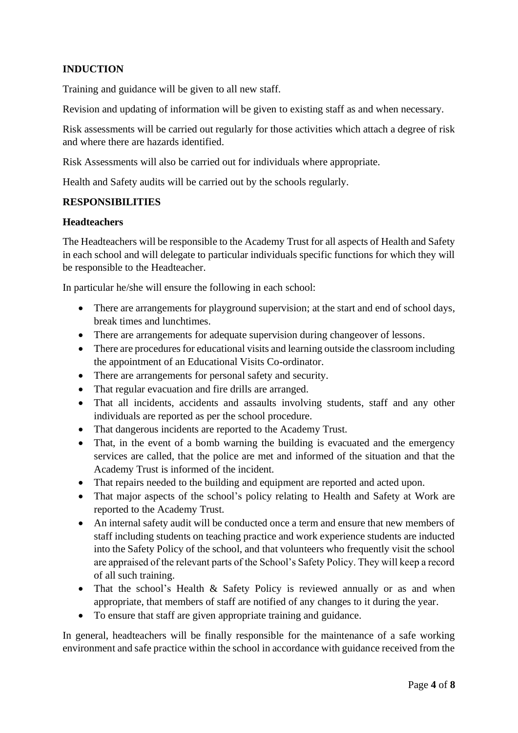# **INDUCTION**

Training and guidance will be given to all new staff.

Revision and updating of information will be given to existing staff as and when necessary.

Risk assessments will be carried out regularly for those activities which attach a degree of risk and where there are hazards identified.

Risk Assessments will also be carried out for individuals where appropriate.

Health and Safety audits will be carried out by the schools regularly.

#### **RESPONSIBILITIES**

#### **Headteachers**

The Headteachers will be responsible to the Academy Trust for all aspects of Health and Safety in each school and will delegate to particular individuals specific functions for which they will be responsible to the Headteacher.

In particular he/she will ensure the following in each school:

- There are arrangements for playground supervision; at the start and end of school days, break times and lunchtimes.
- There are arrangements for adequate supervision during changeover of lessons.
- There are procedures for educational visits and learning outside the classroom including the appointment of an Educational Visits Co-ordinator.
- There are arrangements for personal safety and security.
- That regular evacuation and fire drills are arranged.
- That all incidents, accidents and assaults involving students, staff and any other individuals are reported as per the school procedure.
- That dangerous incidents are reported to the Academy Trust.
- That, in the event of a bomb warning the building is evacuated and the emergency services are called, that the police are met and informed of the situation and that the Academy Trust is informed of the incident.
- That repairs needed to the building and equipment are reported and acted upon.
- That major aspects of the school's policy relating to Health and Safety at Work are reported to the Academy Trust.
- An internal safety audit will be conducted once a term and ensure that new members of staff including students on teaching practice and work experience students are inducted into the Safety Policy of the school, and that volunteers who frequently visit the school are appraised of the relevant parts of the School's Safety Policy. They will keep a record of all such training.
- That the school's Health & Safety Policy is reviewed annually or as and when appropriate, that members of staff are notified of any changes to it during the year.
- To ensure that staff are given appropriate training and guidance.

In general, headteachers will be finally responsible for the maintenance of a safe working environment and safe practice within the school in accordance with guidance received from the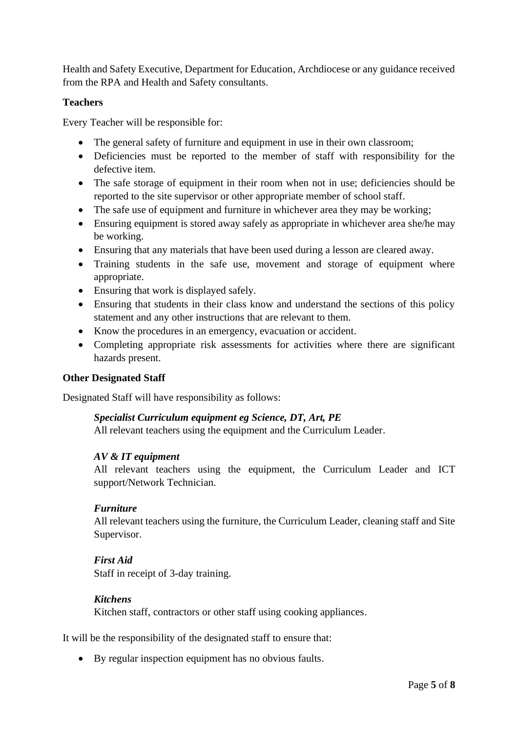Health and Safety Executive, Department for Education, Archdiocese or any guidance received from the RPA and Health and Safety consultants.

## **Teachers**

Every Teacher will be responsible for:

- The general safety of furniture and equipment in use in their own classroom;
- Deficiencies must be reported to the member of staff with responsibility for the defective item.
- The safe storage of equipment in their room when not in use; deficiencies should be reported to the site supervisor or other appropriate member of school staff.
- The safe use of equipment and furniture in whichever area they may be working;
- Ensuring equipment is stored away safely as appropriate in whichever area she/he may be working.
- Ensuring that any materials that have been used during a lesson are cleared away.
- Training students in the safe use, movement and storage of equipment where appropriate.
- Ensuring that work is displayed safely.
- Ensuring that students in their class know and understand the sections of this policy statement and any other instructions that are relevant to them.
- Know the procedures in an emergency, evacuation or accident.
- Completing appropriate risk assessments for activities where there are significant hazards present.

#### **Other Designated Staff**

Designated Staff will have responsibility as follows:

#### *Specialist Curriculum equipment eg Science, DT, Art, PE*

All relevant teachers using the equipment and the Curriculum Leader.

#### *AV & IT equipment*

All relevant teachers using the equipment, the Curriculum Leader and ICT support/Network Technician.

#### *Furniture*

All relevant teachers using the furniture, the Curriculum Leader, cleaning staff and Site Supervisor.

#### *First Aid*

Staff in receipt of 3-day training.

#### *Kitchens*

Kitchen staff, contractors or other staff using cooking appliances.

It will be the responsibility of the designated staff to ensure that:

• By regular inspection equipment has no obvious faults.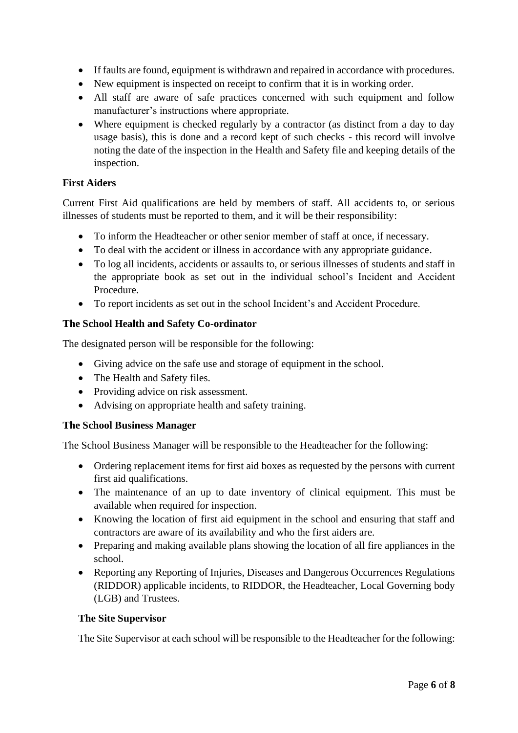- If faults are found, equipment is withdrawn and repaired in accordance with procedures.
- New equipment is inspected on receipt to confirm that it is in working order.
- All staff are aware of safe practices concerned with such equipment and follow manufacturer's instructions where appropriate.
- Where equipment is checked regularly by a contractor (as distinct from a day to day usage basis), this is done and a record kept of such checks - this record will involve noting the date of the inspection in the Health and Safety file and keeping details of the inspection.

## **First Aiders**

Current First Aid qualifications are held by members of staff. All accidents to, or serious illnesses of students must be reported to them, and it will be their responsibility:

- To inform the Headteacher or other senior member of staff at once, if necessary.
- To deal with the accident or illness in accordance with any appropriate guidance.
- To log all incidents, accidents or assaults to, or serious illnesses of students and staff in the appropriate book as set out in the individual school's Incident and Accident Procedure.
- To report incidents as set out in the school Incident's and Accident Procedure.

# **The School Health and Safety Co-ordinator**

The designated person will be responsible for the following:

- Giving advice on the safe use and storage of equipment in the school.
- The Health and Safety files.
- Providing advice on risk assessment.
- Advising on appropriate health and safety training.

# **The School Business Manager**

The School Business Manager will be responsible to the Headteacher for the following:

- Ordering replacement items for first aid boxes as requested by the persons with current first aid qualifications.
- The maintenance of an up to date inventory of clinical equipment. This must be available when required for inspection.
- Knowing the location of first aid equipment in the school and ensuring that staff and contractors are aware of its availability and who the first aiders are.
- Preparing and making available plans showing the location of all fire appliances in the school.
- Reporting any Reporting of Injuries, Diseases and Dangerous Occurrences Regulations (RIDDOR) applicable incidents, to RIDDOR, the Headteacher, Local Governing body (LGB) and Trustees.

#### **The Site Supervisor**

The Site Supervisor at each school will be responsible to the Headteacher for the following: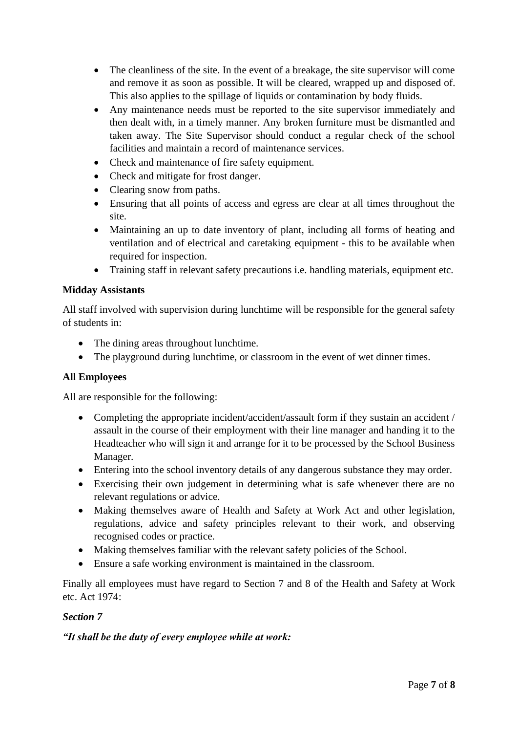- The cleanliness of the site. In the event of a breakage, the site supervisor will come and remove it as soon as possible. It will be cleared, wrapped up and disposed of. This also applies to the spillage of liquids or contamination by body fluids.
- Any maintenance needs must be reported to the site supervisor immediately and then dealt with, in a timely manner. Any broken furniture must be dismantled and taken away. The Site Supervisor should conduct a regular check of the school facilities and maintain a record of maintenance services.
- Check and maintenance of fire safety equipment.
- Check and mitigate for frost danger.
- Clearing snow from paths.
- Ensuring that all points of access and egress are clear at all times throughout the site.
- Maintaining an up to date inventory of plant, including all forms of heating and ventilation and of electrical and caretaking equipment - this to be available when required for inspection.
- Training staff in relevant safety precautions i.e. handling materials, equipment etc.

## **Midday Assistants**

All staff involved with supervision during lunchtime will be responsible for the general safety of students in:

- The dining areas throughout lunchtime.
- The playground during lunchtime, or classroom in the event of wet dinner times.

# **All Employees**

All are responsible for the following:

- Completing the appropriate incident/accident/assault form if they sustain an accident / assault in the course of their employment with their line manager and handing it to the Headteacher who will sign it and arrange for it to be processed by the School Business Manager.
- Entering into the school inventory details of any dangerous substance they may order.
- Exercising their own judgement in determining what is safe whenever there are no relevant regulations or advice.
- Making themselves aware of Health and Safety at Work Act and other legislation, regulations, advice and safety principles relevant to their work, and observing recognised codes or practice.
- Making themselves familiar with the relevant safety policies of the School.
- Ensure a safe working environment is maintained in the classroom.

Finally all employees must have regard to Section 7 and 8 of the Health and Safety at Work etc. Act 1974:

# *Section 7*

# *"It shall be the duty of every employee while at work:*